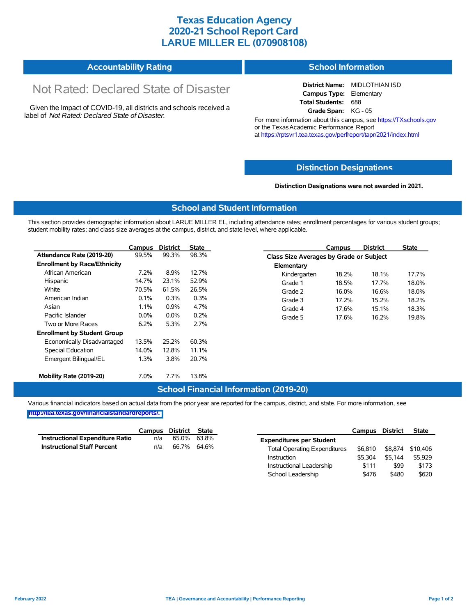# **Texas Education Agency 2020-21 School Report Card LARUE MILLER EL (070908108)**

#### **Accountability Rating School Information**

# Not Rated: Declared State of Disaster

Given the Impact of COVID-19, all districts and schools received a label of *Not Rated: Declared State of Disaster.*

**District Name:** MIDLOTHIAN ISD **Campus Type:** Elementary **Total Students:** 688 **Grade Span:** KG - 05

For more information about this campus, see https://TXschools.gov or the Texas Academic Performance Report at https://rptsvr1.tea.texas.gov/perfreport/tapr/2021/index.html

### **Distinction Designat[ions](https://TXschools.gov)**

**Distinction Designations were not awarded in 2021.**

School Leadership  $$476$  \$480 \$620

#### **School and Student Information**

This section provides demographic information about LARUE MILLER EL, including attendance rates; enrollment percentages for various student groups; student mobility rates; and class size averages at the campus, district, and state level, where applicable.

|                                     | Campus  | <b>District</b> | <b>State</b> | <b>District</b><br>Campus               | <b>State</b> |
|-------------------------------------|---------|-----------------|--------------|-----------------------------------------|--------------|
| Attendance Rate (2019-20)           | 99.5%   | 99.3%           | 98.3%        | Class Size Averages by Grade or Subject |              |
| <b>Enrollment by Race/Ethnicity</b> |         |                 |              | Elementary                              |              |
| African American                    | 7.2%    | 8.9%            | 12.7%        | 18.1%<br>Kindergarten<br>18.2%          | 17.7%        |
| Hispanic                            | 14.7%   | 23.1%           | 52.9%        | 18.5%<br>17.7%<br>Grade 1               | 18.0%        |
| White                               | 70.5%   | 61.5%           | 26.5%        | Grade 2<br>16.0%<br>16.6%               | 18.0%        |
| American Indian                     | 0.1%    | 0.3%            | 0.3%         | 17.2%<br>15.2%<br>Grade 3               | 18.2%        |
| Asian                               | 1.1%    | 0.9%            | 4.7%         | 17.6%<br>Grade 4<br>15.1%               | 18.3%        |
| Pacific Islander                    | $0.0\%$ | $0.0\%$         | 0.2%         | 17.6%<br>Grade 5<br>16.2%               | 19.8%        |
| Two or More Races                   | 6.2%    | 5.3%            | 2.7%         |                                         |              |
| <b>Enrollment by Student Group</b>  |         |                 |              |                                         |              |
| Economically Disadvantaged          | 13.5%   | 25.2%           | 60.3%        |                                         |              |
| Special Education                   | 14.0%   | 12.8%           | 11.1%        |                                         |              |
| Emergent Bilingual/EL               | 1.3%    | 3.8%            | 20.7%        |                                         |              |
|                                     |         |                 |              |                                         |              |
| Mobility Rate (2019-20)             | 7.0%    | 7.7%            | 13.8%        |                                         |              |

### **School Financial Information (2019-20)**

Various financial indicators based on actual data from the prior year are reported for the campus, district, and state. For more information, see

**[http://tea.texas.gov/financialstandardreports/.](http://tea.texas.gov/financialstandardreports/)**

|                                        | Campus | District | <b>State</b> |                                     | Campus  | <b>District</b> | <b>State</b> |
|----------------------------------------|--------|----------|--------------|-------------------------------------|---------|-----------------|--------------|
| <b>Instructional Expenditure Ratio</b> | n/a    | 65.0%    | 63.8%        | <b>Expenditures per Student</b>     |         |                 |              |
| <b>Instructional Staff Percent</b>     | n/a    | 66.7%    | 64.6%        | <b>Total Operating Expenditures</b> | \$6.810 | \$8.874         | \$10.406     |
|                                        |        |          |              | Instruction                         | \$5.304 | \$5.144         | \$5.929      |
|                                        |        |          |              | Instructional Leadership            | \$111   | \$99            | \$173        |